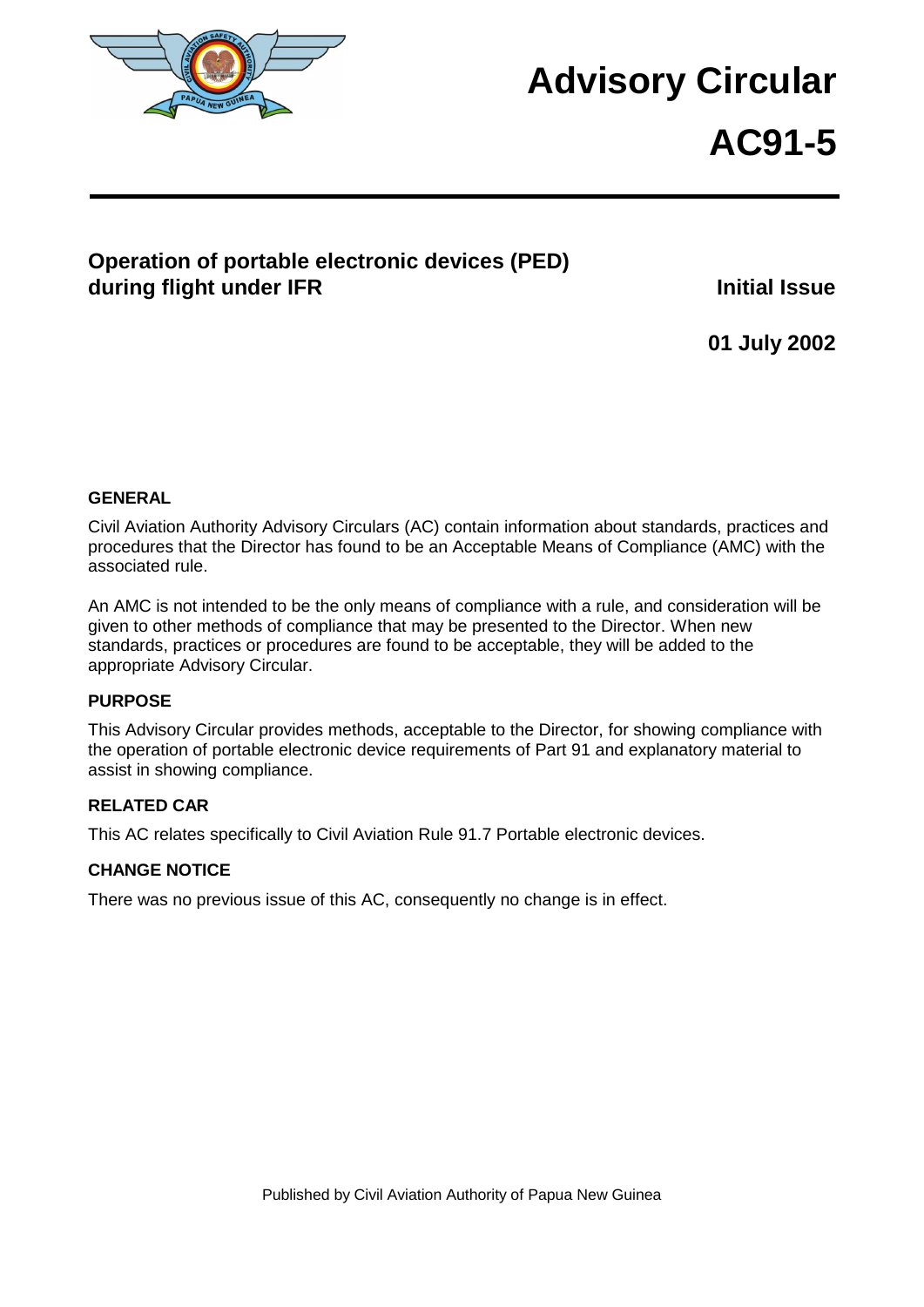

## **Advisory Circular**

# **AC91-5**

## **Operation of portable electronic devices (PED) during flight under IFR Initial Issue Initial Issue**

**01 July 2002** 

#### **GENERAL**

Civil Aviation Authority Advisory Circulars (AC) contain information about standards, practices and procedures that the Director has found to be an Acceptable Means of Compliance (AMC) with the associated rule.

An AMC is not intended to be the only means of compliance with a rule, and consideration will be given to other methods of compliance that may be presented to the Director. When new standards, practices or procedures are found to be acceptable, they will be added to the appropriate Advisory Circular.

#### **PURPOSE**

This Advisory Circular provides methods, acceptable to the Director, for showing compliance with the operation of portable electronic device requirements of Part 91 and explanatory material to assist in showing compliance.

#### **RELATED CAR**

This AC relates specifically to Civil Aviation Rule 91.7 Portable electronic devices.

#### **CHANGE NOTICE**

There was no previous issue of this AC, consequently no change is in effect.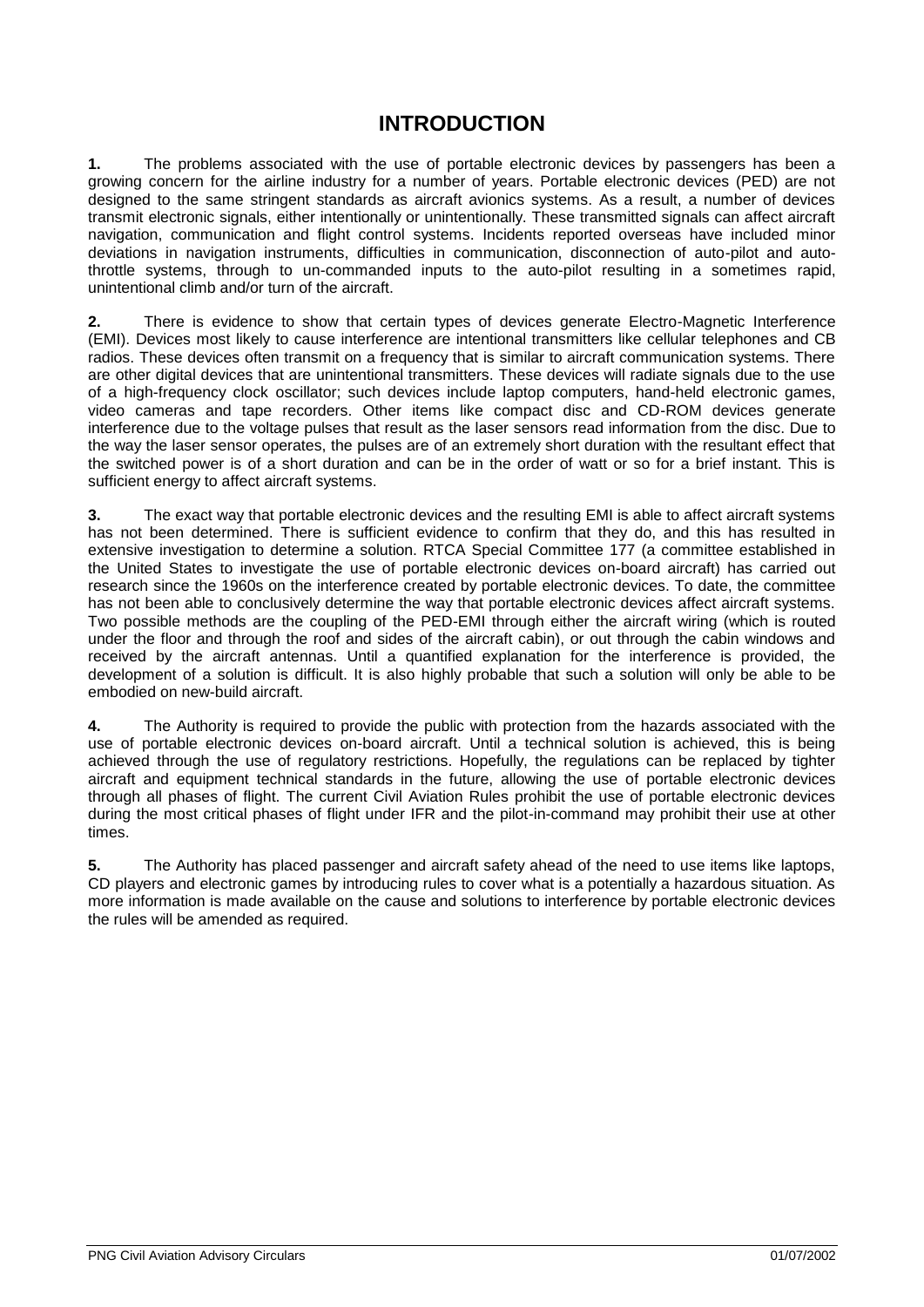## **INTRODUCTION**

**1.** The problems associated with the use of portable electronic devices by passengers has been a growing concern for the airline industry for a number of years. Portable electronic devices (PED) are not designed to the same stringent standards as aircraft avionics systems. As a result, a number of devices transmit electronic signals, either intentionally or unintentionally. These transmitted signals can affect aircraft navigation, communication and flight control systems. Incidents reported overseas have included minor deviations in navigation instruments, difficulties in communication, disconnection of auto-pilot and autothrottle systems, through to un-commanded inputs to the auto-pilot resulting in a sometimes rapid, unintentional climb and/or turn of the aircraft.

**2.** There is evidence to show that certain types of devices generate Electro-Magnetic Interference (EMI). Devices most likely to cause interference are intentional transmitters like cellular telephones and CB radios. These devices often transmit on a frequency that is similar to aircraft communication systems. There are other digital devices that are unintentional transmitters. These devices will radiate signals due to the use of a high-frequency clock oscillator; such devices include laptop computers, hand-held electronic games, video cameras and tape recorders. Other items like compact disc and CD-ROM devices generate interference due to the voltage pulses that result as the laser sensors read information from the disc. Due to the way the laser sensor operates, the pulses are of an extremely short duration with the resultant effect that the switched power is of a short duration and can be in the order of watt or so for a brief instant. This is sufficient energy to affect aircraft systems.

**3.** The exact way that portable electronic devices and the resulting EMI is able to affect aircraft systems has not been determined. There is sufficient evidence to confirm that they do, and this has resulted in extensive investigation to determine a solution. RTCA Special Committee 177 (a committee established in the United States to investigate the use of portable electronic devices on-board aircraft) has carried out research since the 1960s on the interference created by portable electronic devices. To date, the committee has not been able to conclusively determine the way that portable electronic devices affect aircraft systems. Two possible methods are the coupling of the PED-EMI through either the aircraft wiring (which is routed under the floor and through the roof and sides of the aircraft cabin), or out through the cabin windows and received by the aircraft antennas. Until a quantified explanation for the interference is provided, the development of a solution is difficult. It is also highly probable that such a solution will only be able to be embodied on new-build aircraft.

**4.** The Authority is required to provide the public with protection from the hazards associated with the use of portable electronic devices on-board aircraft. Until a technical solution is achieved, this is being achieved through the use of regulatory restrictions. Hopefully, the regulations can be replaced by tighter aircraft and equipment technical standards in the future, allowing the use of portable electronic devices through all phases of flight. The current Civil Aviation Rules prohibit the use of portable electronic devices during the most critical phases of flight under IFR and the pilot-in-command may prohibit their use at other times.

**5.** The Authority has placed passenger and aircraft safety ahead of the need to use items like laptops, CD players and electronic games by introducing rules to cover what is a potentially a hazardous situation. As more information is made available on the cause and solutions to interference by portable electronic devices the rules will be amended as required.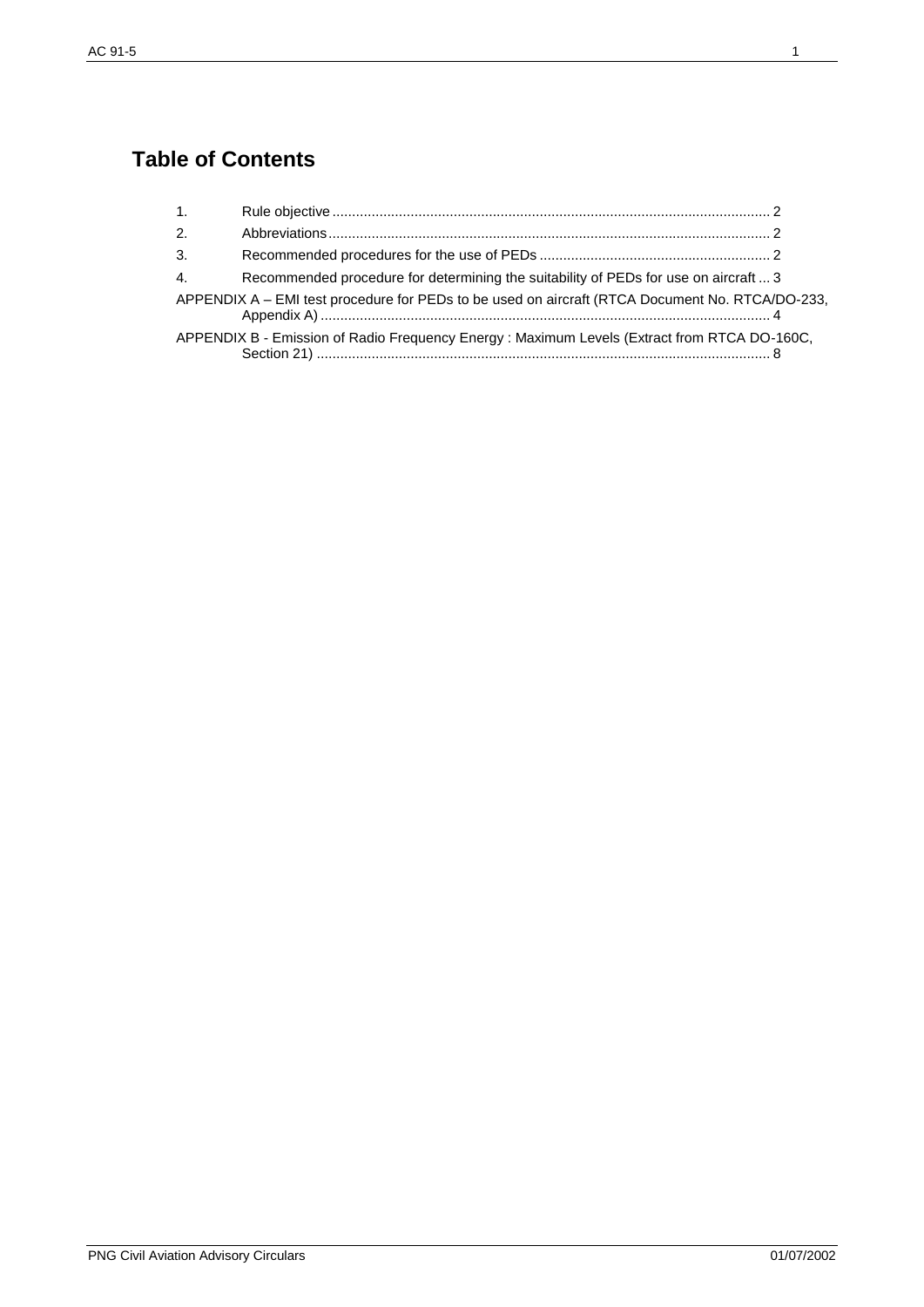## **Table of Contents**

| $\mathbf{1}$ . |                                                                                                 |  |
|----------------|-------------------------------------------------------------------------------------------------|--|
| 2.             |                                                                                                 |  |
| 3.             |                                                                                                 |  |
| $\mathbf{4}$ . | Recommended procedure for determining the suitability of PEDs for use on aircraft  3            |  |
|                | APPENDIX A - EMI test procedure for PEDs to be used on aircraft (RTCA Document No. RTCA/DO-233, |  |
|                | APPENDIX B - Emission of Radio Frequency Energy : Maximum Levels (Extract from RTCA DO-160C,    |  |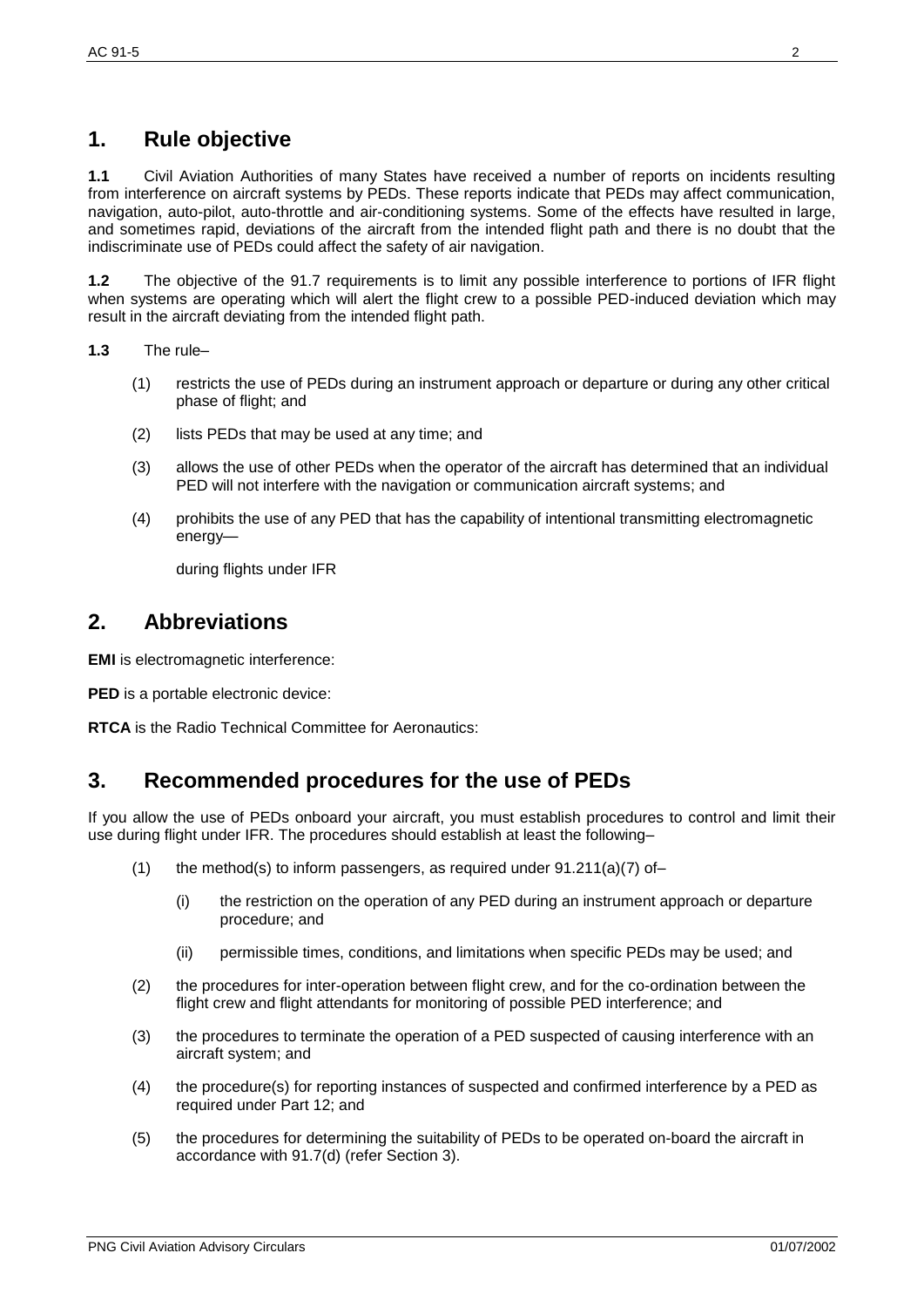## **1. Rule objective**

**1.1** Civil Aviation Authorities of many States have received a number of reports on incidents resulting from interference on aircraft systems by PEDs. These reports indicate that PEDs may affect communication, navigation, auto-pilot, auto-throttle and air-conditioning systems. Some of the effects have resulted in large, and sometimes rapid, deviations of the aircraft from the intended flight path and there is no doubt that the indiscriminate use of PEDs could affect the safety of air navigation.

**1.2** The objective of the 91.7 requirements is to limit any possible interference to portions of IFR flight when systems are operating which will alert the flight crew to a possible PED-induced deviation which may result in the aircraft deviating from the intended flight path.

**1.3** The rule–

- (1) restricts the use of PEDs during an instrument approach or departure or during any other critical phase of flight; and
- (2) lists PEDs that may be used at any time; and
- (3) allows the use of other PEDs when the operator of the aircraft has determined that an individual PED will not interfere with the navigation or communication aircraft systems; and
- (4) prohibits the use of any PED that has the capability of intentional transmitting electromagnetic energy—

during flights under IFR

### **2. Abbreviations**

**EMI** is electromagnetic interference:

**PED** is a portable electronic device:

**RTCA** is the Radio Technical Committee for Aeronautics:

## **3. Recommended procedures for the use of PEDs**

If you allow the use of PEDs onboard your aircraft, you must establish procedures to control and limit their use during flight under IFR. The procedures should establish at least the following–

- (1) the method(s) to inform passengers, as required under  $91.211(a)(7)$  of–
	- (i) the restriction on the operation of any PED during an instrument approach or departure procedure; and
	- (ii) permissible times, conditions, and limitations when specific PEDs may be used; and
- (2) the procedures for inter-operation between flight crew, and for the co-ordination between the flight crew and flight attendants for monitoring of possible PED interference; and
- (3) the procedures to terminate the operation of a PED suspected of causing interference with an aircraft system; and
- (4) the procedure(s) for reporting instances of suspected and confirmed interference by a PED as required under Part 12; and
- (5) the procedures for determining the suitability of PEDs to be operated on-board the aircraft in accordance with 91.7(d) (refer Section 3).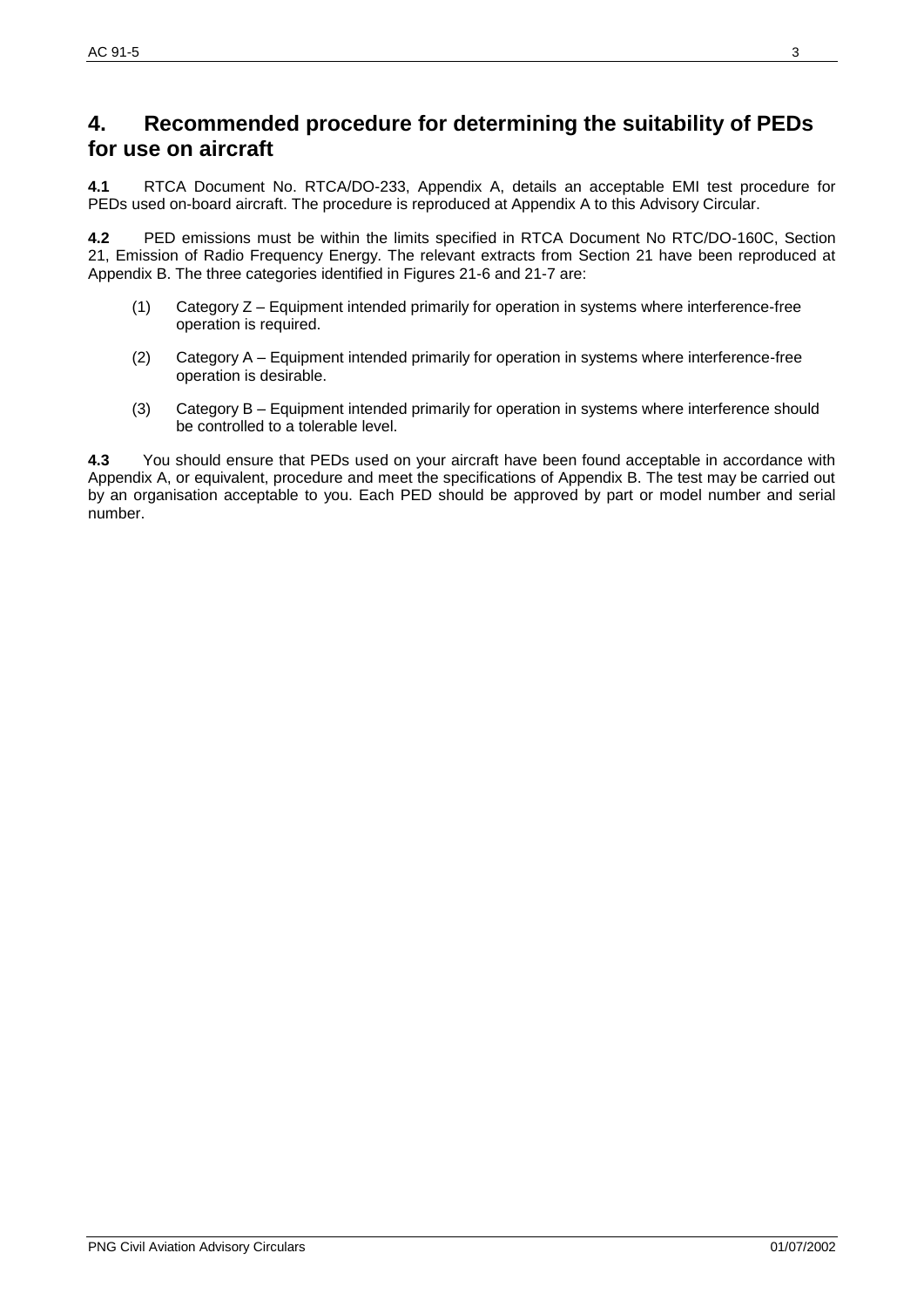## **4. Recommended procedure for determining the suitability of PEDs for use on aircraft**

**4.1** RTCA Document No. RTCA/DO-233, Appendix A, details an acceptable EMI test procedure for PEDs used on-board aircraft. The procedure is reproduced at Appendix A to this Advisory Circular.

**4.2** PED emissions must be within the limits specified in RTCA Document No RTC/DO-160C, Section 21, Emission of Radio Frequency Energy. The relevant extracts from Section 21 have been reproduced at Appendix B. The three categories identified in Figures 21-6 and 21-7 are:

- (1) Category Z Equipment intended primarily for operation in systems where interference-free operation is required.
- (2) Category A Equipment intended primarily for operation in systems where interference-free operation is desirable.
- (3) Category B Equipment intended primarily for operation in systems where interference should be controlled to a tolerable level.

**4.3** You should ensure that PEDs used on your aircraft have been found acceptable in accordance with Appendix A, or equivalent, procedure and meet the specifications of Appendix B. The test may be carried out by an organisation acceptable to you. Each PED should be approved by part or model number and serial number.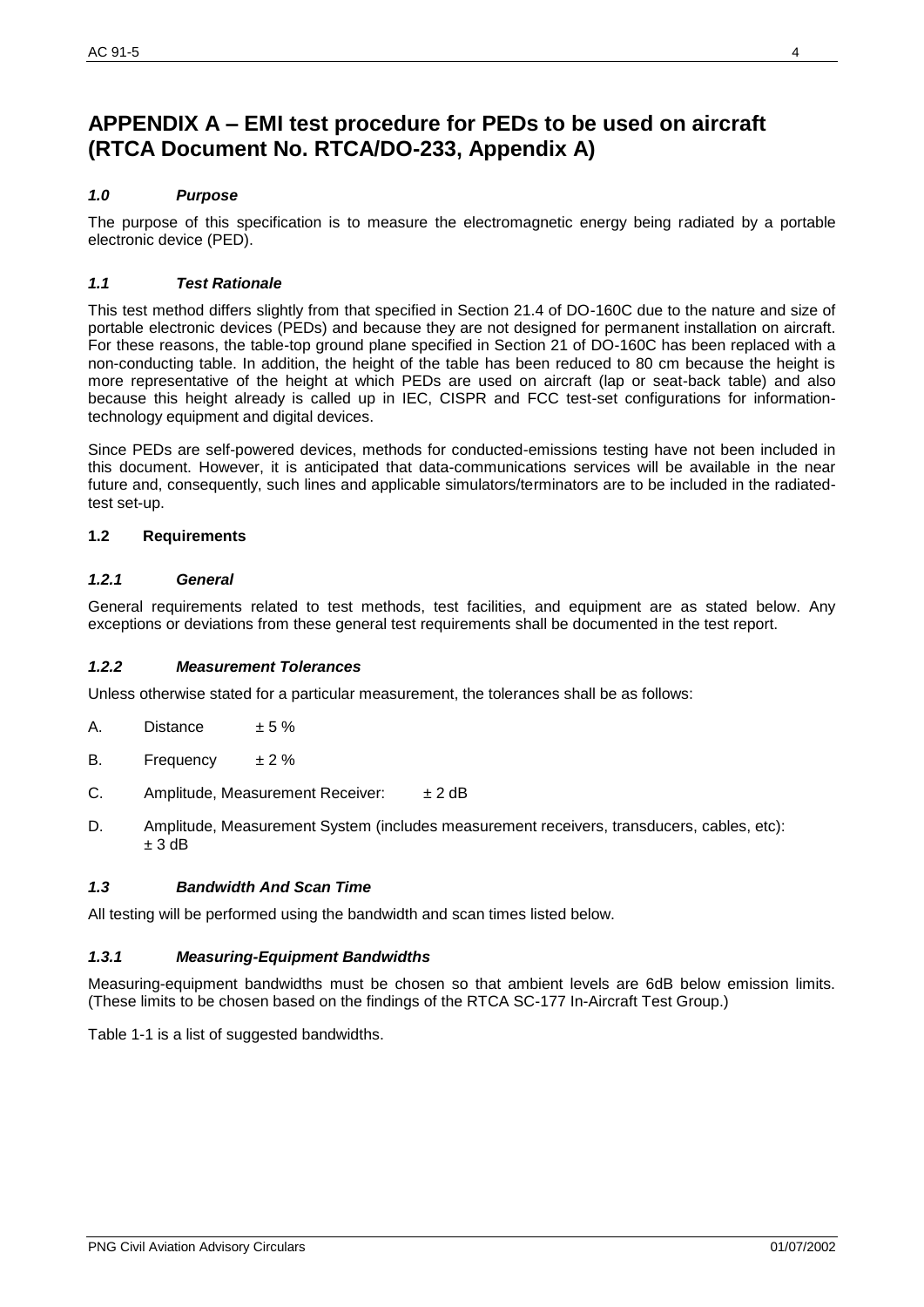## **APPENDIX A – EMI test procedure for PEDs to be used on aircraft (RTCA Document No. RTCA/DO-233, Appendix A)**

#### *1.0 Purpose*

The purpose of this specification is to measure the electromagnetic energy being radiated by a portable electronic device (PED).

#### *1.1 Test Rationale*

This test method differs slightly from that specified in Section 21.4 of DO-160C due to the nature and size of portable electronic devices (PEDs) and because they are not designed for permanent installation on aircraft. For these reasons, the table-top ground plane specified in Section 21 of DO-160C has been replaced with a non-conducting table. In addition, the height of the table has been reduced to 80 cm because the height is more representative of the height at which PEDs are used on aircraft (lap or seat-back table) and also because this height already is called up in IEC, CISPR and FCC test-set configurations for informationtechnology equipment and digital devices.

Since PEDs are self-powered devices, methods for conducted-emissions testing have not been included in this document. However, it is anticipated that data-communications services will be available in the near future and, consequently, such lines and applicable simulators/terminators are to be included in the radiatedtest set-up.

#### **1.2 Requirements**

#### *1.2.1 General*

General requirements related to test methods, test facilities, and equipment are as stated below. Any exceptions or deviations from these general test requirements shall be documented in the test report.

#### *1.2.2 Measurement Tolerances*

Unless otherwise stated for a particular measurement, the tolerances shall be as follows:

- A. Distance  $\pm 5\%$
- B. Frequency  $\pm 2\%$
- C. Amplitude, Measurement Receiver:  $\pm 2$  dB
- D. Amplitude, Measurement System (includes measurement receivers, transducers, cables, etc):  $± 3$  dB

#### *1.3 Bandwidth And Scan Time*

All testing will be performed using the bandwidth and scan times listed below.

#### *1.3.1 Measuring-Equipment Bandwidths*

Measuring-equipment bandwidths must be chosen so that ambient levels are 6dB below emission limits. (These limits to be chosen based on the findings of the RTCA SC-177 In-Aircraft Test Group.)

Table 1-1 is a list of suggested bandwidths.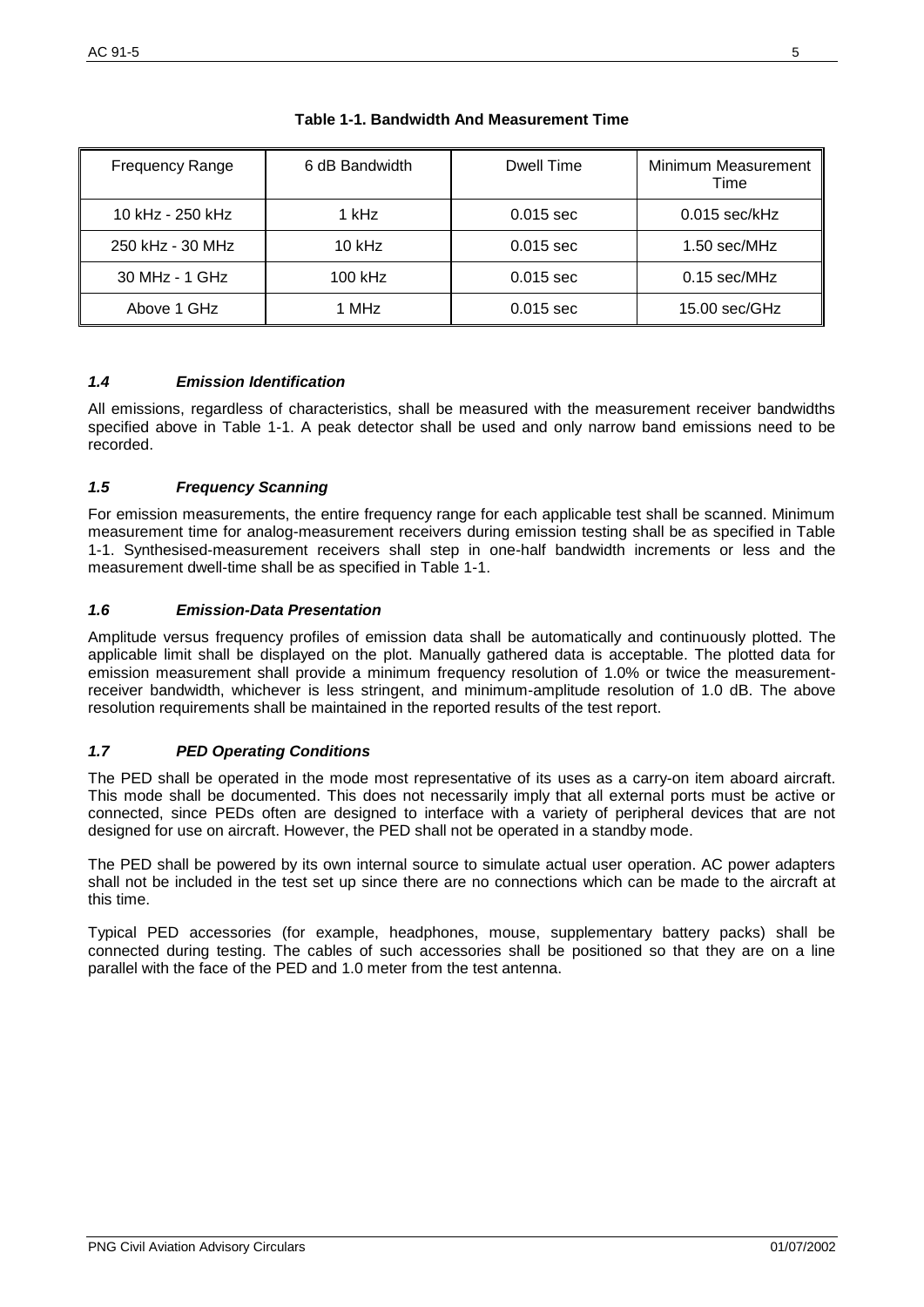| <b>Frequency Range</b> | 6 dB Bandwidth | Dwell Time  | Minimum Measurement<br>Time |
|------------------------|----------------|-------------|-----------------------------|
| 10 kHz - 250 kHz       | 1 kHz          | $0.015$ sec | $0.015$ sec/kHz             |
| 250 kHz - 30 MHz       | $10$ kHz       | $0.015$ sec | 1.50 sec/MHz                |
| 30 MHz - 1 GHz         | $100$ kHz      | $0.015$ sec | $0.15$ sec/MHz              |
| Above 1 GHz            | 1 MHz          | $0.015$ sec | $15.00$ sec/GHz             |

#### **Table 1-1. Bandwidth And Measurement Time**

#### *1.4 Emission Identification*

All emissions, regardless of characteristics, shall be measured with the measurement receiver bandwidths specified above in Table 1-1. A peak detector shall be used and only narrow band emissions need to be recorded.

#### *1.5 Frequency Scanning*

For emission measurements, the entire frequency range for each applicable test shall be scanned. Minimum measurement time for analog-measurement receivers during emission testing shall be as specified in Table 1-1. Synthesised-measurement receivers shall step in one-half bandwidth increments or less and the measurement dwell-time shall be as specified in Table 1-1.

#### *1.6 Emission-Data Presentation*

Amplitude versus frequency profiles of emission data shall be automatically and continuously plotted. The applicable limit shall be displayed on the plot. Manually gathered data is acceptable. The plotted data for emission measurement shall provide a minimum frequency resolution of 1.0% or twice the measurementreceiver bandwidth, whichever is less stringent, and minimum-amplitude resolution of 1.0 dB. The above resolution requirements shall be maintained in the reported results of the test report.

#### *1.7 PED Operating Conditions*

The PED shall be operated in the mode most representative of its uses as a carry-on item aboard aircraft. This mode shall be documented. This does not necessarily imply that all external ports must be active or connected, since PEDs often are designed to interface with a variety of peripheral devices that are not designed for use on aircraft. However, the PED shall not be operated in a standby mode.

The PED shall be powered by its own internal source to simulate actual user operation. AC power adapters shall not be included in the test set up since there are no connections which can be made to the aircraft at this time.

Typical PED accessories (for example, headphones, mouse, supplementary battery packs) shall be connected during testing. The cables of such accessories shall be positioned so that they are on a line parallel with the face of the PED and 1.0 meter from the test antenna.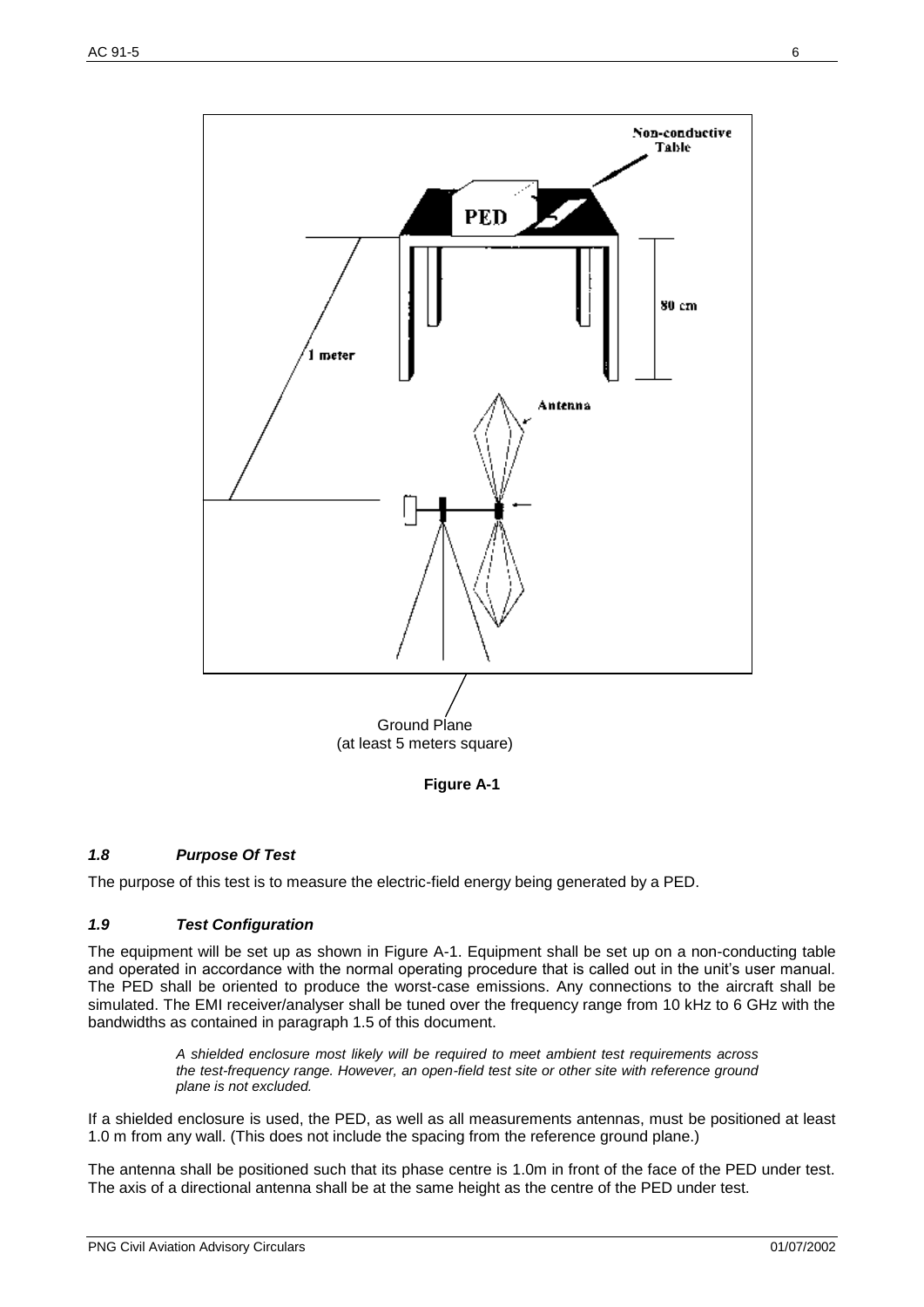

**Figure A-1**

#### *1.8 Purpose Of Test*

The purpose of this test is to measure the electric-field energy being generated by a PED.

#### *1.9 Test Configuration*

The equipment will be set up as shown in Figure A-1. Equipment shall be set up on a non-conducting table and operated in accordance with the normal operating procedure that is called out in the unit's user manual. The PED shall be oriented to produce the worst-case emissions. Any connections to the aircraft shall be simulated. The EMI receiver/analyser shall be tuned over the frequency range from 10 kHz to 6 GHz with the bandwidths as contained in paragraph 1.5 of this document.

> *A shielded enclosure most likely will be required to meet ambient test requirements across the test-frequency range. However, an open-field test site or other site with reference ground plane is not excluded.*

If a shielded enclosure is used, the PED, as well as all measurements antennas, must be positioned at least 1.0 m from any wall. (This does not include the spacing from the reference ground plane.)

The antenna shall be positioned such that its phase centre is 1.0m in front of the face of the PED under test. The axis of a directional antenna shall be at the same height as the centre of the PED under test.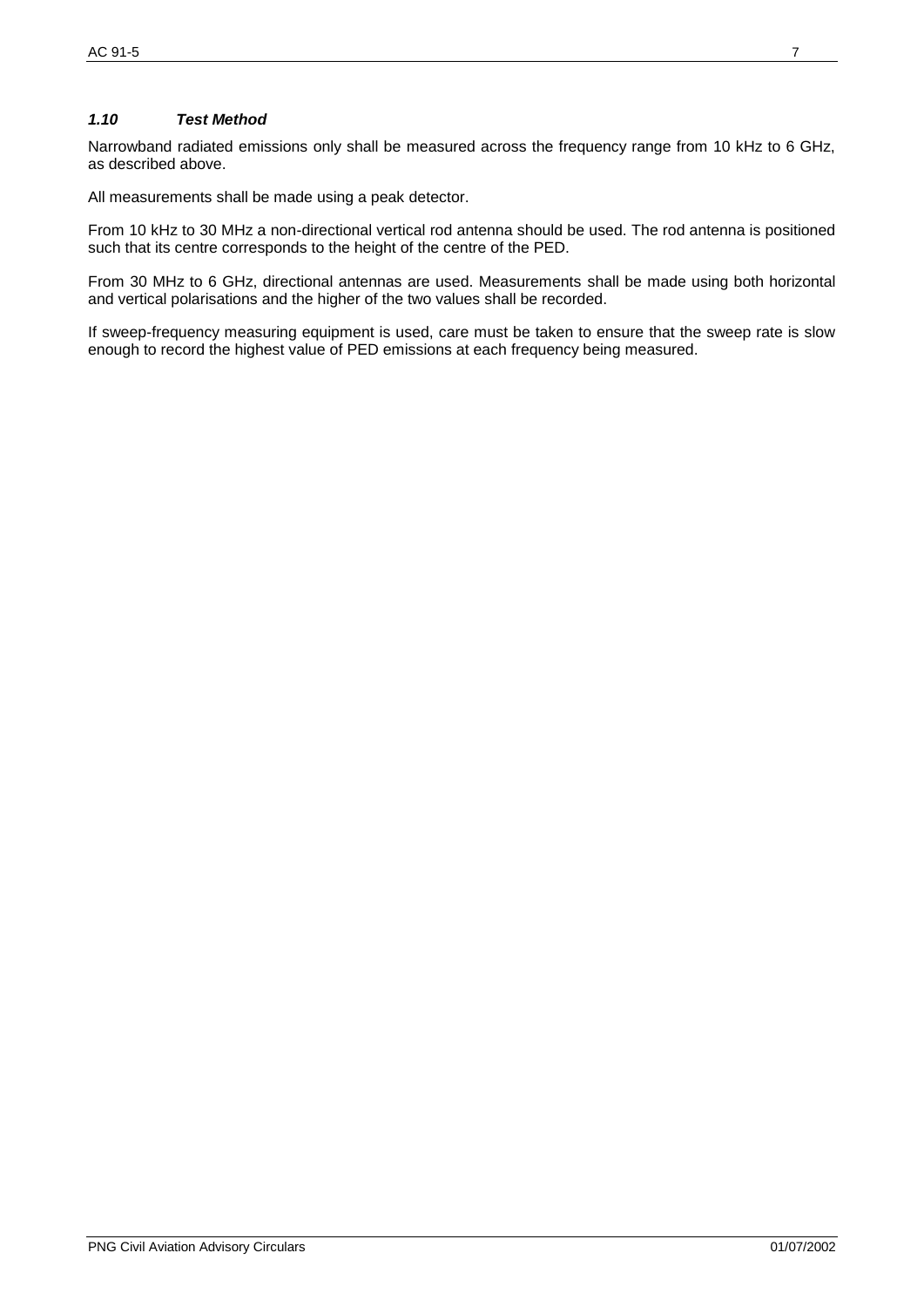#### *1.10 Test Method*

Narrowband radiated emissions only shall be measured across the frequency range from 10 kHz to 6 GHz, as described above.

All measurements shall be made using a peak detector.

From 10 kHz to 30 MHz a non-directional vertical rod antenna should be used. The rod antenna is positioned such that its centre corresponds to the height of the centre of the PED.

From 30 MHz to 6 GHz, directional antennas are used. Measurements shall be made using both horizontal and vertical polarisations and the higher of the two values shall be recorded.

If sweep-frequency measuring equipment is used, care must be taken to ensure that the sweep rate is slow enough to record the highest value of PED emissions at each frequency being measured.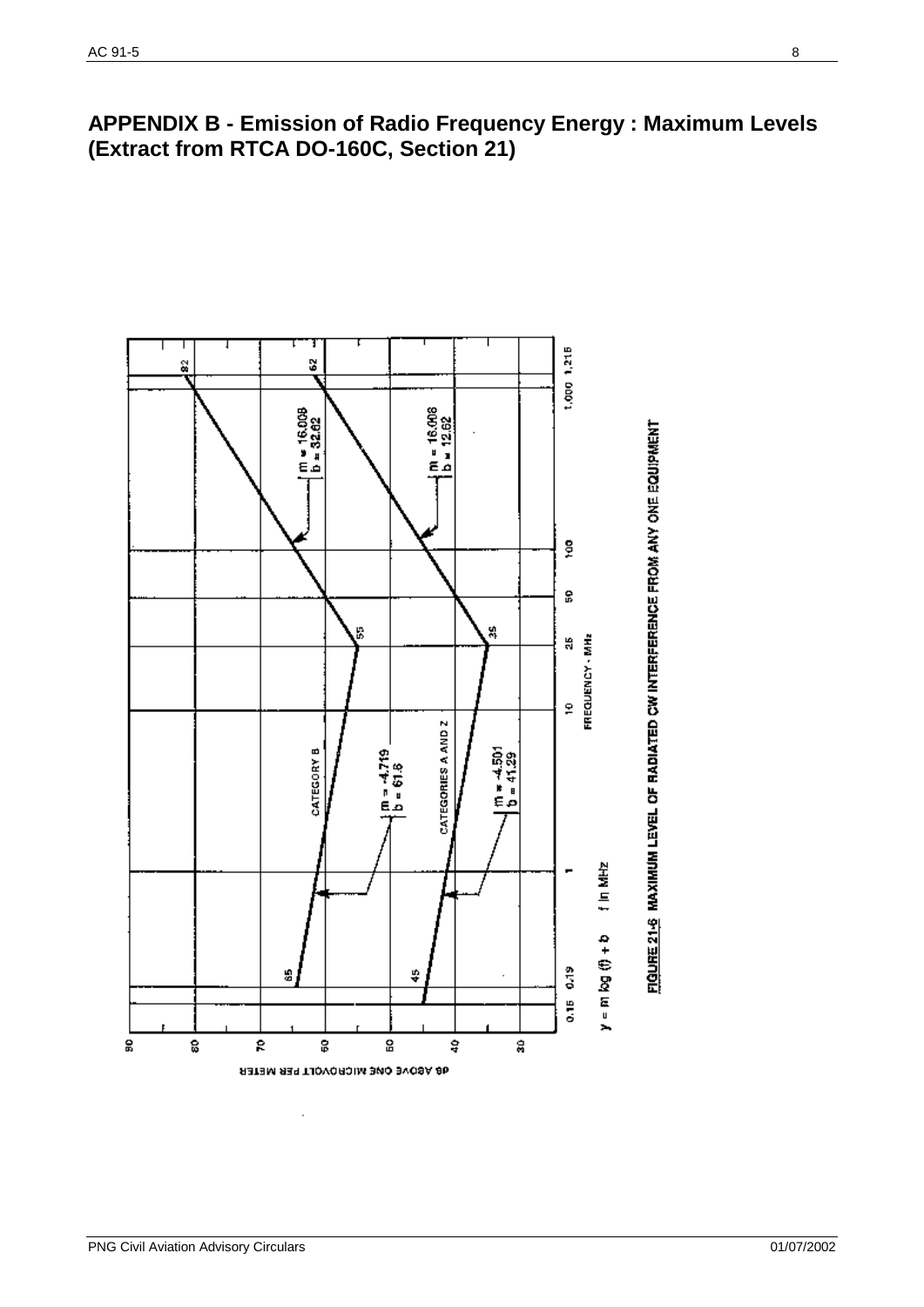## **APPENDIX B - Emission of Radio Frequency Energy : Maximum Levels (Extract from RTCA DO-160C, Section 21)**